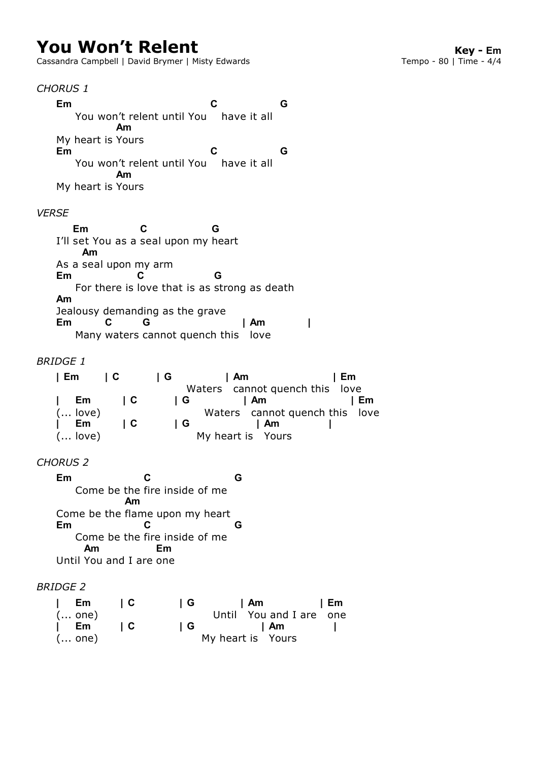# **You Won't Relent**<br>Cassandra Campbell | David Brymer | Misty Edwards<br>**Cassandra Campbell | David Brymer | Misty Edwards Key Campo - 80** | Time - 4/4

Cassandra Campbell | David Brymer | Misty Edwards

#### *CHORUS 1*

 You won't relent until You have it all My heart is Yours You won't relent until You have it all My heart is Yours **Em C G Am Em C G Am**

#### *VERSE*

I'll set You as a seal upon my heart As a seal upon my arm For there is love that is as strong as death Jealousy demanding as the grave Many waters cannot quench this love **Em C G Am Em C G Am Em C G | Am |**

## *BRIDGE 1*

| Em                 | I C                      | ΙG  | l Am                           |                                | Em |    |
|--------------------|--------------------------|-----|--------------------------------|--------------------------------|----|----|
|                    |                          |     | Waters cannot quench this love |                                |    |    |
| Em<br>$\mathbf{L}$ | $\overline{\phantom{a}}$ | IG. |                                | I Am                           |    | Em |
| $($ love)          |                          |     |                                | Waters cannot quench this love |    |    |
| $\vert$ Em         | IC.                      | ΙG  |                                | l Am                           |    |    |
| $($ love)          |                          |     | My heart is Yours              |                                |    |    |

## *CHORUS 2*

 Come be the inside of me fire Come be the flame upon my heart Come be the inside of me fire Until You and I are one **Em C G Am Em C G Am Em**

#### *BRIDGE 2*

| Em     | I C | IG. | l Am                    | l Em |
|--------|-----|-----|-------------------------|------|
| ( one) |     |     | Until You and I are one |      |
| Em     | IC. | l G | l Am                    |      |
| ( one) |     |     | My heart is Yours       |      |